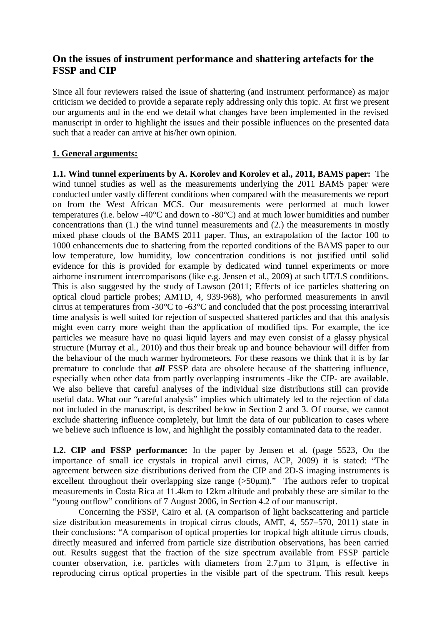# **On the issues of instrument performance and shattering artefacts for the FSSP and CIP**

Since all four reviewers raised the issue of shattering (and instrument performance) as major criticism we decided to provide a separate reply addressing only this topic. At first we present our arguments and in the end we detail what changes have been implemented in the revised manuscript in order to highlight the issues and their possible influences on the presented data such that a reader can arrive at his/her own opinion.

### **1. General arguments:**

**1.1. Wind tunnel experiments by A. Korolev and Korolev et al., 2011, BAMS paper:** The wind tunnel studies as well as the measurements underlying the 2011 BAMS paper were conducted under vastly different conditions when compared with the measurements we report on from the West African MCS. Our measurements were performed at much lower temperatures (i.e. below -40°C and down to -80°C) and at much lower humidities and number concentrations than (1.) the wind tunnel measurements and (2.) the measurements in mostly mixed phase clouds of the BAMS 2011 paper. Thus, an extrapolation of the factor 100 to 1000 enhancements due to shattering from the reported conditions of the BAMS paper to our low temperature, low humidity, low concentration conditions is not justified until solid evidence for this is provided for example by dedicated wind tunnel experiments or more airborne instrument intercomparisons (like e.g. Jensen et al., 2009) at such UT/LS conditions. This is also suggested by the study of Lawson (2011; Effects of ice particles shattering on optical cloud particle probes; AMTD, 4, 939-968), who performed measurements in anvil cirrus at temperatures from -30°C to -63°C and concluded that the post processing interarrival time analysis is well suited for rejection of suspected shattered particles and that this analysis might even carry more weight than the application of modified tips. For example, the ice particles we measure have no quasi liquid layers and may even consist of a glassy physical structure (Murray et al., 2010) and thus their break up and bounce behaviour will differ from the behaviour of the much warmer hydrometeors. For these reasons we think that it is by far premature to conclude that *all* FSSP data are obsolete because of the shattering influence, especially when other data from partly overlapping instruments -like the CIP- are available. We also believe that careful analyses of the individual size distributions still can provide useful data. What our "careful analysis" implies which ultimately led to the rejection of data not included in the manuscript, is described below in Section 2 and 3. Of course, we cannot exclude shattering influence completely, but limit the data of our publication to cases where we believe such influence is low, and highlight the possibly contaminated data to the reader.

**1.2. CIP and FSSP performance:** In the paper by Jensen et al. (page 5523, On the importance of small ice crystals in tropical anvil cirrus, ACP, 2009) it is stated: "The agreement between size distributions derived from the CIP and 2D-S imaging instruments is excellent throughout their overlapping size range  $(50µm)$ ." The authors refer to tropical measurements in Costa Rica at 11.4km to 12km altitude and probably these are similar to the "young outflow" conditions of 7 August 2006, in Section 4.2 of our manuscript.

Concerning the FSSP, Cairo et al. (A comparison of light backscattering and particle size distribution measurements in tropical cirrus clouds, AMT, 4, 557–570, 2011) state in their conclusions: "A comparison of optical properties for tropical high altitude cirrus clouds, directly measured and inferred from particle size distribution observations, has been carried out. Results suggest that the fraction of the size spectrum available from FSSP particle counter observation, i.e. particles with diameters from  $2.7\mu$ m to  $31\mu$ m, is effective in reproducing cirrus optical properties in the visible part of the spectrum. This result keeps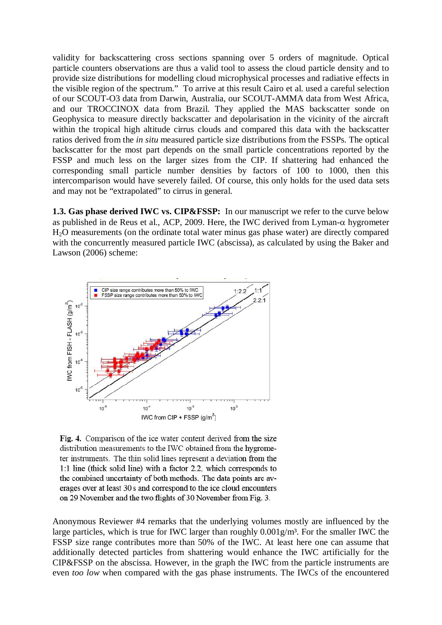validity for backscattering cross sections spanning over 5 orders of magnitude. Optical particle counters observations are thus a valid tool to assess the cloud particle density and to provide size distributions for modelling cloud microphysical processes and radiative effects in the visible region of the spectrum." To arrive at this result Cairo et al. used a careful selection of our SCOUT-O3 data from Darwin, Australia, our SCOUT-AMMA data from West Africa, and our TROCCINOX data from Brazil. They applied the MAS backscatter sonde on Geophysica to measure directly backscatter and depolarisation in the vicinity of the aircraft within the tropical high altitude cirrus clouds and compared this data with the backscatter ratios derived from the *in situ* measured particle size distributions from the FSSPs. The optical backscatter for the most part depends on the small particle concentrations reported by the FSSP and much less on the larger sizes from the CIP. If shattering had enhanced the corresponding small particle number densities by factors of 100 to 1000, then this intercomparison would have severely failed. Of course, this only holds for the used data sets and may not be "extrapolated" to cirrus in general.

**1.3. Gas phase derived IWC vs. CIP&FSSP:** In our manuscript we refer to the curve below as published in de Reus et al., ACP, 2009. Here, the IWC derived from Lyman- $\alpha$  hygrometer H2O measurements (on the ordinate total water minus gas phase water) are directly compared with the concurrently measured particle IWC (abscissa), as calculated by using the Baker and Lawson (2006) scheme:



Fig. 4. Comparison of the ice water content derived from the size distribution measurements to the IWC obtained from the hygrometer instruments. The thin solid lines represent a deviation from the 1:1 line (thick solid line) with a factor 2.2, which corresponds to the combined uncertainty of both methods. The data points are averages over at least 30 s and correspond to the ice cloud encounters on 29 November and the two flights of 30 November from Fig. 3.

Anonymous Reviewer #4 remarks that the underlying volumes mostly are influenced by the large particles, which is true for IWC larger than roughly  $0.001g/m<sup>3</sup>$ . For the smaller IWC the FSSP size range contributes more than 50% of the IWC. At least here one can assume that additionally detected particles from shattering would enhance the IWC artificially for the CIP&FSSP on the abscissa. However, in the graph the IWC from the particle instruments are even *too low* when compared with the gas phase instruments. The IWCs of the encountered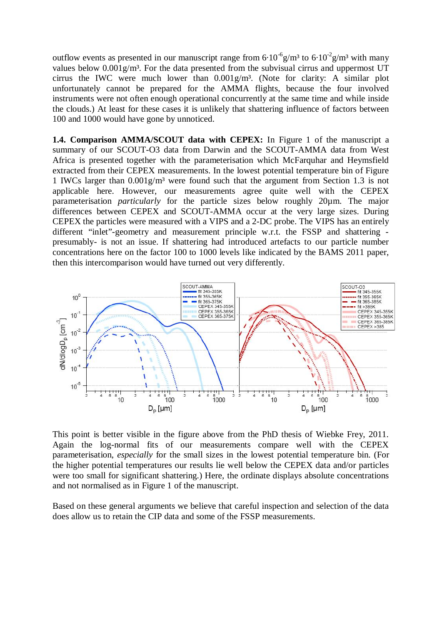outflow events as presented in our manuscript range from  $6.10^{-6}$ g/m<sup>3</sup> to  $6.10^{-2}$ g/m<sup>3</sup> with many values below  $0.001$ g/m<sup>3</sup>. For the data presented from the subvisual cirrus and uppermost UT cirrus the IWC were much lower than  $0.001g/m<sup>3</sup>$ . (Note for clarity: A similar plot unfortunately cannot be prepared for the AMMA flights, because the four involved instruments were not often enough operational concurrently at the same time and while inside the clouds.) At least for these cases it is unlikely that shattering influence of factors between 100 and 1000 would have gone by unnoticed.

**1.4. Comparison AMMA/SCOUT data with CEPEX:** In Figure 1 of the manuscript a summary of our SCOUT-O3 data from Darwin and the SCOUT-AMMA data from West Africa is presented together with the parameterisation which McFarquhar and Heymsfield extracted from their CEPEX measurements. In the lowest potential temperature bin of Figure 1 IWCs larger than  $0.001g/m<sup>3</sup>$  were found such that the argument from Section 1.3 is not applicable here. However, our measurements agree quite well with the CEPEX parameterisation *particularly* for the particle sizes below roughly 20µm. The major differences between CEPEX and SCOUT-AMMA occur at the very large sizes. During CEPEX the particles were measured with a VIPS and a 2-DC probe. The VIPS has an entirely different "inlet"-geometry and measurement principle w.r.t. the FSSP and shattering presumably- is not an issue. If shattering had introduced artefacts to our particle number concentrations here on the factor 100 to 1000 levels like indicated by the BAMS 2011 paper, then this intercomparison would have turned out very differently.



This point is better visible in the figure above from the PhD thesis of Wiebke Frey, 2011. Again the log-normal fits of our measurements compare well with the CEPEX parameterisation, *especially* for the small sizes in the lowest potential temperature bin. (For the higher potential temperatures our results lie well below the CEPEX data and/or particles were too small for significant shattering.) Here, the ordinate displays absolute concentrations and not normalised as in Figure 1 of the manuscript.

Based on these general arguments we believe that careful inspection and selection of the data does allow us to retain the CIP data and some of the FSSP measurements.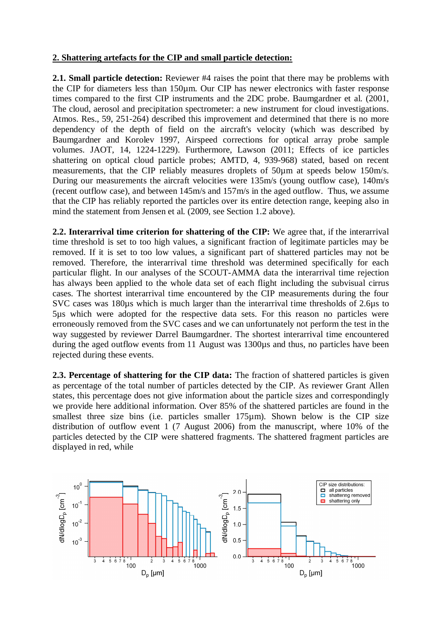## **2. Shattering artefacts for the CIP and small particle detection:**

**2.1. Small particle detection:** Reviewer #4 raises the point that there may be problems with the CIP for diameters less than 150µm. Our CIP has newer electronics with faster response times compared to the first CIP instruments and the 2DC probe. Baumgardner et al. (2001, The cloud, aerosol and precipitation spectrometer: a new instrument for cloud investigations. Atmos. Res., 59, 251-264) described this improvement and determined that there is no more dependency of the depth of field on the aircraft's velocity (which was described by Baumgardner and Korolev 1997, Airspeed corrections for optical array probe sample volumes. JAOT, 14, 1224-1229). Furthermore, Lawson (2011; Effects of ice particles shattering on optical cloud particle probes; AMTD, 4, 939-968) stated, based on recent measurements, that the CIP reliably measures droplets of 50µm at speeds below 150m/s. During our measurements the aircraft velocities were 135m/s (young outflow case), 140m/s (recent outflow case), and between 145m/s and 157m/s in the aged outflow. Thus, we assume that the CIP has reliably reported the particles over its entire detection range, keeping also in mind the statement from Jensen et al. (2009, see Section 1.2 above).

**2.2. Interarrival time criterion for shattering of the CIP:** We agree that, if the interarrival time threshold is set to too high values, a significant fraction of legitimate particles may be removed. If it is set to too low values, a significant part of shattered particles may not be removed. Therefore, the interarrival time threshold was determined specifically for each particular flight. In our analyses of the SCOUT-AMMA data the interarrival time rejection has always been applied to the whole data set of each flight including the subvisual cirrus cases. The shortest interarrival time encountered by the CIP measurements during the four SVC cases was 180µs which is much larger than the interarrival time thresholds of 2.6µs to 5µs which were adopted for the respective data sets. For this reason no particles were erroneously removed from the SVC cases and we can unfortunately not perform the test in the way suggested by reviewer Darrel Baumgardner. The shortest interarrival time encountered during the aged outflow events from 11 August was 1300µs and thus, no particles have been rejected during these events.

**2.3. Percentage of shattering for the CIP data:** The fraction of shattered particles is given as percentage of the total number of particles detected by the CIP. As reviewer Grant Allen states, this percentage does not give information about the particle sizes and correspondingly we provide here additional information. Over 85% of the shattered particles are found in the smallest three size bins (i.e. particles smaller 175µm). Shown below is the CIP size distribution of outflow event 1 (7 August 2006) from the manuscript, where 10% of the particles detected by the CIP were shattered fragments. The shattered fragment particles are displayed in red, while

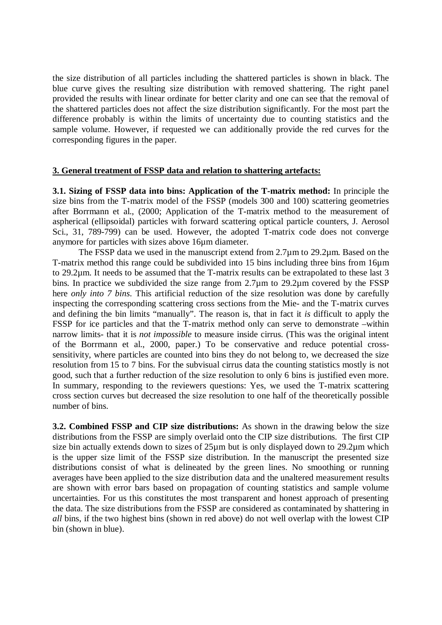the size distribution of all particles including the shattered particles is shown in black. The blue curve gives the resulting size distribution with removed shattering. The right panel provided the results with linear ordinate for better clarity and one can see that the removal of the shattered particles does not affect the size distribution significantly. For the most part the difference probably is within the limits of uncertainty due to counting statistics and the sample volume. However, if requested we can additionally provide the red curves for the corresponding figures in the paper.

#### **3. General treatment of FSSP data and relation to shattering artefacts:**

**3.1. Sizing of FSSP data into bins: Application of the T-matrix method:** In principle the size bins from the T-matrix model of the FSSP (models 300 and 100) scattering geometries after Borrmann et al., (2000; Application of the T-matrix method to the measurement of aspherical (ellipsoidal) particles with forward scattering optical particle counters, J. Aerosol Sci., 31, 789-799) can be used. However, the adopted T-matrix code does not converge anymore for particles with sizes above 16µm diameter.

The FSSP data we used in the manuscript extend from 2.7µm to 29.2µm. Based on the T-matrix method this range could be subdivided into 15 bins including three bins from 16µm to 29.2µm. It needs to be assumed that the T-matrix results can be extrapolated to these last 3 bins. In practice we subdivided the size range from 2.7µm to 29.2µm covered by the FSSP here *only into 7 bins*. This artificial reduction of the size resolution was done by carefully inspecting the corresponding scattering cross sections from the Mie- and the T-matrix curves and defining the bin limits "manually". The reason is, that in fact it *is* difficult to apply the FSSP for ice particles and that the T-matrix method only can serve to demonstrate –within narrow limits- that it is *not impossible* to measure inside cirrus. (This was the original intent of the Borrmann et al., 2000, paper.) To be conservative and reduce potential crosssensitivity, where particles are counted into bins they do not belong to, we decreased the size resolution from 15 to 7 bins. For the subvisual cirrus data the counting statistics mostly is not good, such that a further reduction of the size resolution to only 6 bins is justified even more. In summary, responding to the reviewers questions: Yes, we used the T-matrix scattering cross section curves but decreased the size resolution to one half of the theoretically possible number of bins.

**3.2. Combined FSSP and CIP size distributions:** As shown in the drawing below the size distributions from the FSSP are simply overlaid onto the CIP size distributions. The first CIP size bin actually extends down to sizes of  $25\mu$ m but is only displayed down to  $29.2\mu$ m which is the upper size limit of the FSSP size distribution. In the manuscript the presented size distributions consist of what is delineated by the green lines. No smoothing or running averages have been applied to the size distribution data and the unaltered measurement results are shown with error bars based on propagation of counting statistics and sample volume uncertainties. For us this constitutes the most transparent and honest approach of presenting the data. The size distributions from the FSSP are considered as contaminated by shattering in *all* bins, if the two highest bins (shown in red above) do not well overlap with the lowest CIP bin (shown in blue).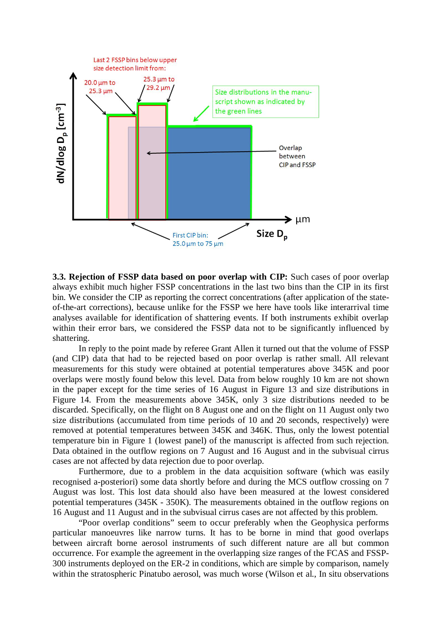

**3.3. Rejection of FSSP data based on poor overlap with CIP:** Such cases of poor overlap always exhibit much higher FSSP concentrations in the last two bins than the CIP in its first bin. We consider the CIP as reporting the correct concentrations (after application of the stateof-the-art corrections), because unlike for the FSSP we here have tools like interarrival time analyses available for identification of shattering events. If both instruments exhibit overlap within their error bars, we considered the FSSP data not to be significantly influenced by shattering.

In reply to the point made by referee Grant Allen it turned out that the volume of FSSP (and CIP) data that had to be rejected based on poor overlap is rather small. All relevant measurements for this study were obtained at potential temperatures above 345K and poor overlaps were mostly found below this level. Data from below roughly 10 km are not shown in the paper except for the time series of 16 August in Figure 13 and size distributions in Figure 14. From the measurements above 345K, only 3 size distributions needed to be discarded. Specifically, on the flight on 8 August one and on the flight on 11 August only two size distributions (accumulated from time periods of 10 and 20 seconds, respectively) were removed at potential temperatures between 345K and 346K. Thus, only the lowest potential temperature bin in Figure 1 (lowest panel) of the manuscript is affected from such rejection. Data obtained in the outflow regions on 7 August and 16 August and in the subvisual cirrus cases are not affected by data rejection due to poor overlap.

Furthermore, due to a problem in the data acquisition software (which was easily recognised a-posteriori) some data shortly before and during the MCS outflow crossing on 7 August was lost. This lost data should also have been measured at the lowest considered potential temperatures (345K - 350K). The measurements obtained in the outflow regions on 16 August and 11 August and in the subvisual cirrus cases are not affected by this problem.

 "Poor overlap conditions" seem to occur preferably when the Geophysica performs particular manoeuvres like narrow turns. It has to be borne in mind that good overlaps between aircraft borne aerosol instruments of such different nature are all but common occurrence. For example the agreement in the overlapping size ranges of the FCAS and FSSP-300 instruments deployed on the ER-2 in conditions, which are simple by comparison, namely within the stratospheric Pinatubo aerosol, was much worse (Wilson et al., In situ observations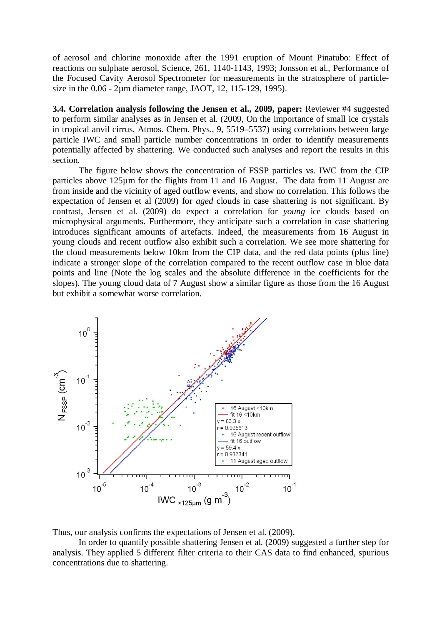of aerosol and chlorine monoxide after the 1991 eruption of Mount Pinatubo: Effect of reactions on sulphate aerosol, Science, 261, 1140-1143, 1993; Jonsson et al., Performance of the Focused Cavity Aerosol Spectrometer for measurements in the stratosphere of particlesize in the 0.06 - 2µm diameter range, JAOT, 12, 115-129, 1995).

**3.4. Correlation analysis following the Jensen et al., 2009, paper:** Reviewer #4 suggested to perform similar analyses as in Jensen et al. (2009, On the importance of small ice crystals in tropical anvil cirrus, Atmos. Chem. Phys., 9, 5519–5537) using correlations between large particle IWC and small particle number concentrations in order to identify measurements potentially affected by shattering. We conducted such analyses and report the results in this section.

 The figure below shows the concentration of FSSP particles vs. IWC from the CIP particles above 125µm for the flights from 11 and 16 August. The data from 11 August are from inside and the vicinity of aged outflow events, and show no correlation. This follows the expectation of Jensen et al (2009) for *aged* clouds in case shattering is not significant. By contrast, Jensen et al. (2009) do expect a correlation for *young* ice clouds based on microphysical arguments. Furthermore, they anticipate such a correlation in case shattering introduces significant amounts of artefacts. Indeed, the measurements from 16 August in young clouds and recent outflow also exhibit such a correlation. We see more shattering for the cloud measurements below 10km from the CIP data, and the red data points (plus line) indicate a stronger slope of the correlation compared to the recent outflow case in blue data points and line (Note the log scales and the absolute difference in the coefficients for the slopes). The young cloud data of 7 August show a similar figure as those from the 16 August but exhibit a somewhat worse correlation.



Thus, our analysis confirms the expectations of Jensen et al. (2009).

 In order to quantify possible shattering Jensen et al. (2009) suggested a further step for analysis. They applied 5 different filter criteria to their CAS data to find enhanced, spurious concentrations due to shattering.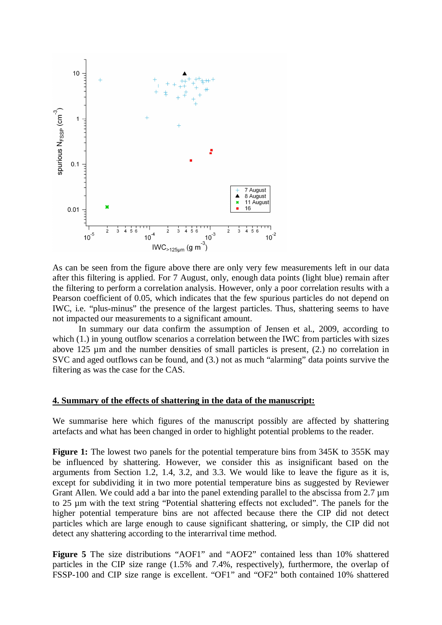

As can be seen from the figure above there are only very few measurements left in our data after this filtering is applied. For 7 August, only, enough data points (light blue) remain after the filtering to perform a correlation analysis. However, only a poor correlation results with a Pearson coefficient of 0.05, which indicates that the few spurious particles do not depend on IWC, i.e. "plus-minus" the presence of the largest particles. Thus, shattering seems to have not impacted our measurements to a significant amount.

 In summary our data confirm the assumption of Jensen et al., 2009, according to which (1.) in young outflow scenarios a correlation between the IWC from particles with sizes above 125 µm and the number densities of small particles is present, (2.) no correlation in SVC and aged outflows can be found, and (3.) not as much "alarming" data points survive the filtering as was the case for the CAS.

#### **4. Summary of the effects of shattering in the data of the manuscript:**

We summarise here which figures of the manuscript possibly are affected by shattering artefacts and what has been changed in order to highlight potential problems to the reader.

**Figure 1:** The lowest two panels for the potential temperature bins from 345K to 355K may be influenced by shattering. However, we consider this as insignificant based on the arguments from Section 1.2, 1.4, 3.2, and 3.3. We would like to leave the figure as it is, except for subdividing it in two more potential temperature bins as suggested by Reviewer Grant Allen. We could add a bar into the panel extending parallel to the abscissa from  $2.7 \mu m$ to 25 µm with the text string "Potential shattering effects not excluded". The panels for the higher potential temperature bins are not affected because there the CIP did not detect particles which are large enough to cause significant shattering, or simply, the CIP did not detect any shattering according to the interarrival time method.

**Figure 5** The size distributions "AOF1" and "AOF2" contained less than 10% shattered particles in the CIP size range (1.5% and 7.4%, respectively), furthermore, the overlap of FSSP-100 and CIP size range is excellent. "OF1" and "OF2" both contained 10% shattered